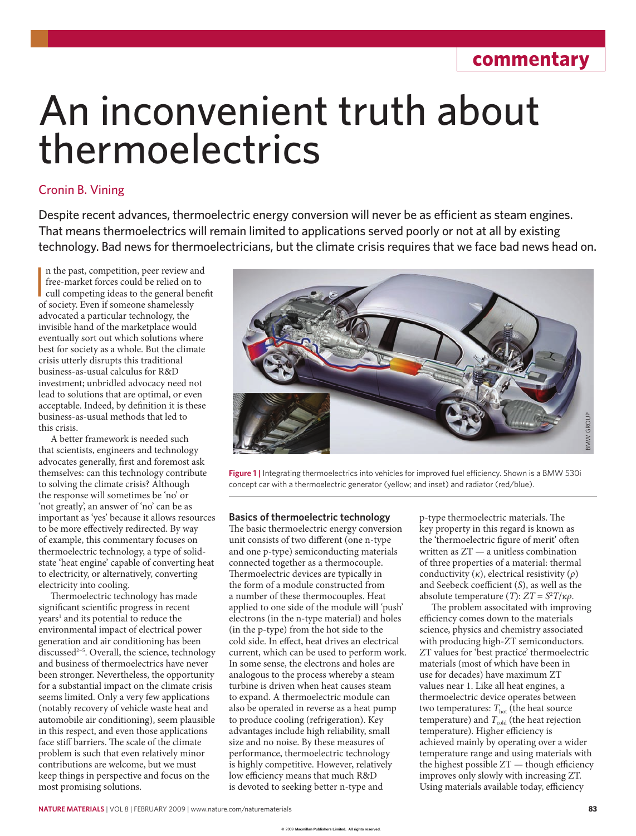# **commentary**

# An inconvenient truth about thermoelectrics

# Cronin B. Vining

Despite recent advances, thermoelectric energy conversion will never be as efficient as steam engines. That means thermoelectrics will remain limited to applications served poorly or not at all by existing technology. Bad news for thermoelectricians, but the climate crisis requires that we face bad news head on.

In the past, competition, peer review as<br>free-market forces could be relied on t<br>cull competing ideas to the general be<br>of society. Even if someone shamelessly n the past, competition, peer review and free-market forces could be relied on to cull competing ideas to the general benefit advocated a particular technology, the invisible hand of the marketplace would eventually sort out which solutions where best for society as a whole. But the climate crisis utterly disrupts this traditional business-as-usual calculus for R&D investment; unbridled advocacy need not lead to solutions that are optimal, or even acceptable. Indeed, by definition it is these business-as-usual methods that led to this crisis.

A better framework is needed such that scientists, engineers and technology advocates generally, first and foremost ask themselves: can this technology contribute to solving the climate crisis? Although the response will sometimes be 'no' or 'not greatly', an answer of 'no' can be as important as 'yes' because it allows resources to be more effectively redirected. By way of example, this commentary focuses on thermoelectric technology, a type of solidstate 'heat engine' capable of converting heat to electricity, or alternatively, converting electricity into cooling.

Thermoelectric technology has made significant scientific progress in recent years<sup>1</sup> and its potential to reduce the environmental impact of electrical power generation and air conditioning has been discussed<sup>2-5</sup>. Overall, the science, technology and business of thermoelectrics have never been stronger. Nevertheless, the opportunity for a substantial impact on the climate crisis seems limited. Only a very few applications (notably recovery of vehicle waste heat and automobile air conditioning), seem plausible in this respect, and even those applications face stiff barriers. The scale of the climate problem is such that even relatively minor contributions are welcome, but we must keep things in perspective and focus on the most promising solutions.



**Figure 1** | Integrating thermoelectrics into vehicles for improved fuel efficiency. Shown is a BMW 530i concept car with a thermoelectric generator (yellow; and inset) and radiator (red/blue).

## **Basics of thermoelectric technology**

The basic thermoelectric energy conversion unit consists of two different (one n-type and one p-type) semiconducting materials connected together as a thermocouple. Thermoelectric devices are typically in the form of a module constructed from a number of these thermocouples. Heat applied to one side of the module will 'push' electrons (in the n-type material) and holes (in the p-type) from the hot side to the cold side. In effect, heat drives an electrical current, which can be used to perform work. In some sense, the electrons and holes are analogous to the process whereby a steam turbine is driven when heat causes steam to expand. A thermoelectric module can also be operated in reverse as a heat pump to produce cooling (refrigeration). Key advantages include high reliability, small size and no noise. By these measures of performance, thermoelectric technology is highly competitive. However, relatively low efficiency means that much R&D is devoted to seeking better n-type and

p-type thermoelectric materials. The key property in this regard is known as the 'thermoelectric figure of merit' often written as ZT — a unitless combination of three properties of a material: thermal conductivity (*κ*), electrical resistivity (*ρ*) and Seebeck coefficient (*S*), as well as the absolute temperature (*T*): *ZT* = *S*<sup>2</sup> *T*/*κρ*.

The problem associtated with improving efficiency comes down to the materials science, physics and chemistry associated with producing high-ZT semiconductors. ZT values for 'best practice' thermoelectric materials (most of which have been in use for decades) have maximum ZT values near 1. Like all heat engines, a thermoelectric device operates between two temperatures:  $T<sub>hot</sub>$  (the heat source temperature) and  $T_{\text{cold}}$  (the heat rejection temperature). Higher efficiency is achieved mainly by operating over a wider temperature range and using materials with the highest possible ZT — though efficiency improves only slowly with increasing ZT. Using materials available today, efficiency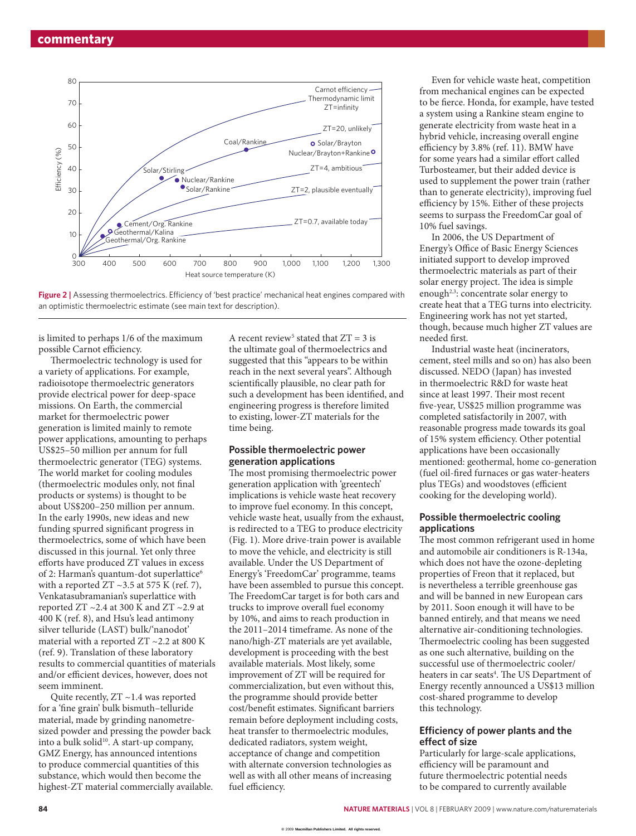

**Figure 2 |** Assessing thermoelectrics. Efficiency of 'best practice' mechanical heat engines compared with an optimistic thermoelectric estimate (see main text for description).

is limited to perhaps 1/6 of the maximum possible Carnot efficiency.

Thermoelectric technology is used for a variety of applications. For example, radioisotope thermoelectric generators provide electrical power for deep-space missions. On Earth, the commercial market for thermoelectric power generation is limited mainly to remote power applications, amounting to perhaps US\$25–50 million per annum for full thermoelectric generator (TEG) systems. The world market for cooling modules (thermoelectric modules only, not final products or systems) is thought to be about US\$200–250 million per annum. In the early 1990s, new ideas and new funding spurred significant progress in thermoelectrics, some of which have been discussed in this journal. Yet only three efforts have produced ZT values in excess of 2: Harman's quantum-dot superlattice<sup>6</sup> with a reported  $ZT \sim 3.5$  at 575 K (ref. 7), Venkatasubramanian's superlattice with reported ZT  $\sim$  2.4 at 300 K and ZT  $\sim$  2.9 at 400 K (ref. 8), and Hsu's lead antimony silver telluride (LAST) bulk/'nanodot' material with a reported ZT ~2.2 at 800 K (ref. 9). Translation of these laboratory results to commercial quantities of materials and/or efficient devices, however, does not seem imminent.

Quite recently, ZT ~1.4 was reported for a 'fine grain' bulk bismuth–telluride material, made by grinding nanometresized powder and pressing the powder back into a bulk solid<sup>10</sup>. A start-up company, GMZ Energy, has announced intentions to produce commercial quantities of this substance, which would then become the highest-ZT material commercially available.

A recent review<sup>5</sup> stated that  $ZT = 3$  is the ultimate goal of thermoelectrics and suggested that this "appears to be within reach in the next several years". Although scientifically plausible, no clear path for such a development has been identified, and engineering progress is therefore limited to existing, lower-ZT materials for the time being.

## **Possible thermoelectric power generation applications**

The most promising thermoelectric power generation application with 'greentech' implications is vehicle waste heat recovery to improve fuel economy. In this concept, vehicle waste heat, usually from the exhaust, is redirected to a TEG to produce electricity (Fig. 1). More drive-train power is available to move the vehicle, and electricity is still available. Under the US Department of Energy's 'FreedomCar' programme, teams have been assembled to pursue this concept. The FreedomCar target is for both cars and trucks to improve overall fuel economy by 10%, and aims to reach production in the 2011–2014 timeframe. As none of the nano/high-ZT materials are yet available, development is proceeding with the best available materials. Most likely, some improvement of ZT will be required for commercialization, but even without this, the programme should provide better cost/benefit estimates. Significant barriers remain before deployment including costs, heat transfer to thermoelectric modules, dedicated radiators, system weight, acceptance of change and competition with alternate conversion technologies as well as with all other means of increasing fuel efficiency.

Even for vehicle waste heat, competition from mechanical engines can be expected to be fierce. Honda, for example, have tested a system using a Rankine steam engine to generate electricity from waste heat in a hybrid vehicle, increasing overall engine efficiency by 3.8% (ref. 11). BMW have for some years had a similar effort called Turbosteamer, but their added device is used to supplement the power train (rather than to generate electricity), improving fuel efficiency by 15%. Either of these projects seems to surpass the FreedomCar goal of 10% fuel savings.

In 2006, the US Department of Energy's Office of Basic Energy Sciences initiated support to develop improved thermoelectric materials as part of their solar energy project. The idea is simple enough2,3: concentrate solar energy to create heat that a TEG turns into electricity. Engineering work has not yet started, though, because much higher ZT values are needed first.

Industrial waste heat (incinerators, cement, steel mills and so on) has also been discussed. NEDO (Japan) has invested in thermoelectric R&D for waste heat since at least 1997. Their most recent five-year, US\$25 million programme was completed satisfactorily in 2007, with reasonable progress made towards its goal of 15% system efficiency. Other potential applications have been occasionally mentioned: geothermal, home co-generation (fuel oil-fired furnaces or gas water-heaters plus TEGs) and woodstoves (efficient cooking for the developing world).

## **Possible thermoelectric cooling applications**

The most common refrigerant used in home and automobile air conditioners is R-134a, which does not have the ozone-depleting properties of Freon that it replaced, but is nevertheless a terrible greenhouse gas and will be banned in new European cars by 2011. Soon enough it will have to be banned entirely, and that means we need alternative air-conditioning technologies. Thermoelectric cooling has been suggested as one such alternative, building on the successful use of thermoelectric cooler/ heaters in car seats<sup>4</sup>. The US Department of Energy recently announced a US\$13 million cost-shared programme to develop this technology.

## **Efficiency of power plants and the effect of size**

Particularly for large-scale applications, efficiency will be paramount and future thermoelectric potential needs to be compared to currently available